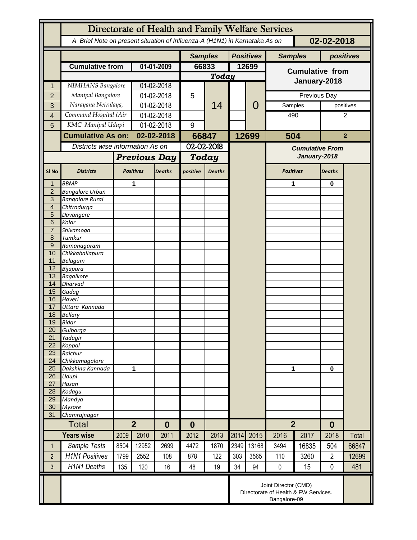|                                  | Directorate of Health and Family Welfare Services                                        |                          |                            |               |                |               |      |                  |                        |       |                |           |
|----------------------------------|------------------------------------------------------------------------------------------|--------------------------|----------------------------|---------------|----------------|---------------|------|------------------|------------------------|-------|----------------|-----------|
|                                  | A Brief Note on present situation of Influenza-A (H1N1) in Karnataka As on<br>02-02-2018 |                          |                            |               |                |               |      |                  |                        |       |                |           |
|                                  |                                                                                          |                          |                            |               | <b>Samples</b> |               |      | <b>Positives</b> | <b>Samples</b>         |       | positives      |           |
|                                  | <b>Cumulative from</b>                                                                   |                          | 01-01-2009                 |               | 66833          |               |      | 12699            | <b>Cumulative from</b> |       |                |           |
|                                  |                                                                                          |                          |                            |               | Today          |               |      |                  | January-2018           |       |                |           |
| 1                                | NIMHANS Bangalore                                                                        |                          | 01-02-2018                 |               |                | 14            |      |                  |                        |       |                |           |
| $\overline{2}$                   | Manipal Bangalore                                                                        |                          | 01-02-2018                 |               | 5              |               |      | 0                | Previous Day           |       |                |           |
| 3                                | Narayana Netralaya,                                                                      |                          | 01-02-2018                 |               |                |               |      |                  | Samples                |       |                | positives |
| 4                                | Command Hospital (Air                                                                    |                          | 01-02-2018                 |               |                |               |      |                  | 490                    |       | 2              |           |
| 5                                | KMC Manipal Udupi                                                                        |                          | 01-02-2018                 |               | 9              |               |      |                  |                        |       |                |           |
|                                  |                                                                                          | <b>Cumulative As on:</b> |                            | 02-02-2018    |                | 66847         |      | 12699            | 504                    |       | $\overline{2}$ |           |
|                                  | Districts wise information As on                                                         |                          |                            |               | 02-02-2018     |               |      |                  | <b>Cumulative From</b> |       |                |           |
|                                  |                                                                                          |                          | <b>Previous Day</b>        |               | Today          |               |      |                  | January-2018           |       |                |           |
|                                  |                                                                                          |                          |                            |               |                |               |      |                  |                        |       |                |           |
| SI <sub>No</sub>                 | <b>Districts</b>                                                                         |                          | <b>Positives</b>           | <b>Deaths</b> | positive       | <b>Deaths</b> |      |                  | <b>Positives</b>       |       | <b>Deaths</b>  |           |
|                                  | <b>BBMP</b>                                                                              |                          | 1                          |               |                |               |      |                  | 1                      |       | $\bf{0}$       |           |
| $\overline{2}$                   | <b>Bangalore Urban</b>                                                                   |                          |                            |               |                |               |      |                  |                        |       |                |           |
| $\overline{3}$<br>$\overline{4}$ | <b>Bangalore Rural</b><br>Chitradurga                                                    |                          |                            |               |                |               |      |                  |                        |       |                |           |
| 5                                | Davangere                                                                                |                          |                            |               |                |               |      |                  |                        |       |                |           |
| 6                                | Kolar                                                                                    |                          |                            |               |                |               |      |                  |                        |       |                |           |
| $\overline{7}$                   | Shivamoga                                                                                |                          |                            |               |                |               |      |                  |                        |       |                |           |
| 8                                | Tumkur                                                                                   |                          |                            |               |                |               |      |                  |                        |       |                |           |
| $\overline{9}$<br>10             | Ramanagaram                                                                              |                          |                            |               |                |               |      |                  |                        |       |                |           |
| 11                               | Chikkaballapura<br><b>Belagum</b>                                                        |                          |                            |               |                |               |      |                  |                        |       |                |           |
| 12                               | <b>Bijapura</b>                                                                          |                          |                            |               |                |               |      |                  |                        |       |                |           |
| 13                               | <b>Bagalkote</b>                                                                         |                          |                            |               |                |               |      |                  |                        |       |                |           |
| 14                               | <b>Dharvad</b>                                                                           |                          |                            |               |                |               |      |                  |                        |       |                |           |
| 15<br>16                         | Gadag                                                                                    |                          |                            |               |                |               |      |                  |                        |       |                |           |
| 17                               | Haveri<br>Uttara Kannada                                                                 |                          |                            |               |                |               |      |                  |                        |       |                |           |
| 18                               | <b>Bellary</b>                                                                           |                          |                            |               |                |               |      |                  |                        |       |                |           |
| 19                               | <b>Bidar</b>                                                                             |                          |                            |               |                |               |      |                  |                        |       |                |           |
| 20                               | Gulbarga                                                                                 |                          |                            |               |                |               |      |                  |                        |       |                |           |
| 21                               | Yadagir                                                                                  |                          |                            |               |                |               |      |                  |                        |       |                |           |
| 22<br>23                         | Koppal<br>Raichur                                                                        |                          |                            |               |                |               |      |                  |                        |       |                |           |
| 24                               | Chikkamagalore                                                                           |                          |                            |               |                |               |      |                  | 1                      |       |                |           |
| 25                               | Dakshina Kannada                                                                         |                          | 1                          |               |                |               |      |                  |                        |       | $\mathbf 0$    |           |
| 26                               | Udupi                                                                                    |                          |                            |               |                |               |      |                  |                        |       |                |           |
| 27                               | Hasan                                                                                    |                          |                            |               |                |               |      |                  |                        |       |                |           |
| 28<br>29                         | Kodagu<br>Mandya                                                                         |                          |                            |               |                |               |      |                  |                        |       |                |           |
| 30                               | <b>Mysore</b>                                                                            |                          |                            |               |                |               |      |                  |                        |       |                |           |
| 31                               | Chamrajnagar                                                                             |                          |                            |               |                |               |      |                  |                        |       |                |           |
|                                  | <b>Total</b>                                                                             |                          | $\overline{2}$<br>$\bf{0}$ |               | $\bf{0}$       |               |      |                  | $\overline{2}$         |       | $\bf{0}$       |           |
|                                  | <b>Years wise</b>                                                                        | 2009                     | 2010                       | 2011          | 2012           | 2013          | 2014 | 2015             | 2016                   | 2017  | 2018           | Total     |
| 1                                | Sample Tests                                                                             | 8504                     | 12952                      | 2699          | 4472           | 1870          | 2349 | 13168            | 3494                   | 16835 | 504            | 66847     |
| $\overline{2}$                   | <b>H1N1 Positives</b>                                                                    | 1799                     | 2552                       | 108           | 878            | 122           | 303  | 3565             | 110                    | 3260  | $\overline{2}$ | 12699     |
| 3                                | <b>H1N1 Deaths</b>                                                                       | 135                      | 120                        | 16            | 48             | 19            | 34   | 94               | $\pmb{0}$              | 15    | $\mathbf 0$    | 481       |
|                                  | Joint Director (CMD)<br>Directorate of Health & FW Services.<br>Bangalore-09             |                          |                            |               |                |               |      |                  |                        |       |                |           |